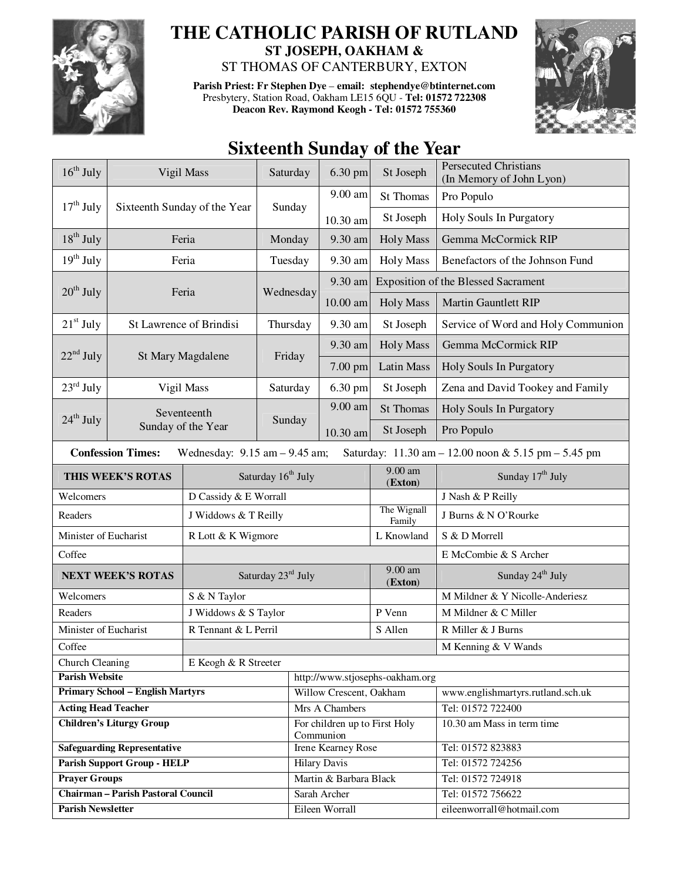

## **THE CATHOLIC PARISH OF RUTLAND ST JOSEPH, OAKHAM &**

ST THOMAS OF CANTERBURY, EXTON

**Parish Priest: Fr Stephen Dye** – **email: stephendye@btinternet.com** Presbytery, Station Road, Oakham LE15 6QU - **Tel: 01572 722308 Deacon Rev. Raymond Keogh - Tel: 01572 755360** 



## **Sixteenth Sunday of the Year**

| $16^{th}$ July                                                                                                       | Vigil Mass                   |                       | Saturday                       | 6.30 pm                                    | St Joseph             | <b>Persecuted Christians</b><br>(In Memory of John Lyon) |
|----------------------------------------------------------------------------------------------------------------------|------------------------------|-----------------------|--------------------------------|--------------------------------------------|-----------------------|----------------------------------------------------------|
|                                                                                                                      | Sixteenth Sunday of the Year |                       | Sunday                         | 9.00 am                                    | St Thomas             | Pro Populo                                               |
| $17th$ July                                                                                                          |                              |                       |                                | 10.30 am                                   | St Joseph             | Holy Souls In Purgatory                                  |
| $18^{th}$ July                                                                                                       | Feria                        |                       | Monday                         | 9.30 am                                    | <b>Holy Mass</b>      | Gemma McCormick RIP                                      |
| $19th$ July                                                                                                          | Feria                        |                       | Tuesday                        | 9.30 am                                    | <b>Holy Mass</b>      | Benefactors of the Johnson Fund                          |
|                                                                                                                      |                              |                       | Wednesday                      | 9.30 am                                    |                       | <b>Exposition of the Blessed Sacrament</b>               |
| $20th$ July                                                                                                          |                              | Feria                 |                                | $10.00$ am                                 | <b>Holy Mass</b>      | <b>Martin Gauntlett RIP</b>                              |
| $21st$ July                                                                                                          | St Lawrence of Brindisi      |                       | Thursday                       | 9.30 am                                    | St Joseph             | Service of Word and Holy Communion                       |
|                                                                                                                      | St Mary Magdalene            |                       | Friday                         | 9.30 am                                    | <b>Holy Mass</b>      | Gemma McCormick RIP                                      |
| $22nd$ July                                                                                                          |                              |                       |                                | 7.00 pm                                    | <b>Latin Mass</b>     | Holy Souls In Purgatory                                  |
| $23^{\text{rd}}$ July                                                                                                | Vigil Mass                   |                       | Saturday                       | 6.30 pm                                    | St Joseph             | Zena and David Tookey and Family                         |
| $24th$ July                                                                                                          |                              | Seventeenth           |                                | 9.00 am                                    | <b>St Thomas</b>      | Holy Souls In Purgatory                                  |
|                                                                                                                      | Sunday of the Year           |                       | Sunday                         | 10.30 am                                   | St Joseph             | Pro Populo                                               |
| <b>Confession Times:</b><br>Wednesday: $9.15$ am $- 9.45$ am;<br>Saturday: 11.30 am - 12.00 noon & 5.15 pm - 5.45 pm |                              |                       |                                |                                            |                       |                                                          |
|                                                                                                                      | THIS WEEK'S ROTAS            |                       | Saturday 16 <sup>th</sup> July |                                            |                       | Sunday 17 <sup>th</sup> July                             |
| Welcomers                                                                                                            |                              | D Cassidy & E Worrall |                                |                                            | (Exton)               | J Nash & P Reilly                                        |
| Readers                                                                                                              |                              | J Widdows & T Reilly  |                                |                                            | The Wignall<br>Family | J Burns & N O'Rourke                                     |
| Minister of Eucharist                                                                                                |                              | R Lott & K Wigmore    |                                |                                            | L Knowland            | S & D Morrell                                            |
| Coffee                                                                                                               |                              |                       |                                |                                            |                       | E McCombie & S Archer                                    |
| <b>NEXT WEEK'S ROTAS</b>                                                                                             |                              | Saturday 23rd July    |                                |                                            | 9.00 am<br>(Exton)    | Sunday 24 <sup>th</sup> July                             |
| Welcomers                                                                                                            |                              | S & N Taylor          |                                |                                            |                       | M Mildner & Y Nicolle-Anderiesz                          |
| Readers                                                                                                              |                              | J Widdows & S Taylor  |                                |                                            | P Venn                | M Mildner & C Miller                                     |
| Minister of Eucharist                                                                                                |                              | R Tennant & L Perril  |                                |                                            | S Allen               | R Miller & J Burns                                       |
| Coffee                                                                                                               |                              |                       |                                |                                            | M Kenning & V Wands   |                                                          |
| Church Cleaning<br>E Keogh & R Streeter                                                                              |                              |                       |                                |                                            |                       |                                                          |
| <b>Parish Website</b>                                                                                                |                              |                       |                                | http://www.stjosephs-oakham.org            |                       |                                                          |
| <b>Primary School - English Martyrs</b>                                                                              |                              |                       |                                | Willow Crescent, Oakham                    |                       | www.englishmartyrs.rutland.sch.uk                        |
| <b>Acting Head Teacher</b>                                                                                           |                              |                       |                                | Mrs A Chambers                             |                       | Tel: 01572 722400                                        |
| <b>Children's Liturgy Group</b>                                                                                      |                              |                       |                                | For children up to First Holy<br>Communion |                       | 10.30 am Mass in term time                               |
| <b>Safeguarding Representative</b>                                                                                   |                              |                       |                                | Irene Kearney Rose                         |                       | Tel: 01572 823883                                        |
| <b>Parish Support Group - HELP</b>                                                                                   |                              |                       |                                | <b>Hilary Davis</b>                        |                       | Tel: 01572 724256                                        |
| <b>Prayer Groups</b>                                                                                                 |                              |                       |                                | Martin & Barbara Black                     |                       | Tel: 01572 724918                                        |
| <b>Chairman - Parish Pastoral Council</b>                                                                            |                              |                       |                                | Sarah Archer                               |                       | Tel: 01572 756622                                        |
| <b>Parish Newsletter</b>                                                                                             |                              |                       |                                | Eileen Worrall                             |                       | eileenworrall@hotmail.com                                |